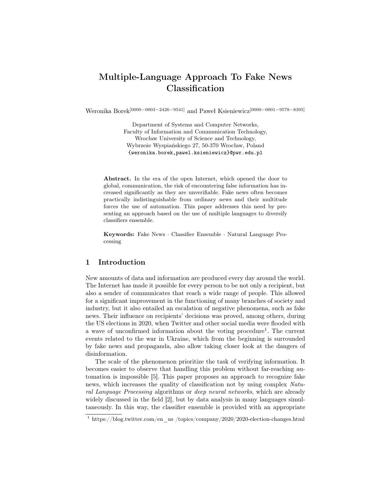# Multiple-Language Approach To Fake News Classification

Weronika Borek[0000−0003−2426−9541] and Paweł Ksieniewicz[0000−0001−9578−8395]

Department of Systems and Computer Networks, Faculty of Information and Communication Technology, Wrocław University of Science and Technology, Wybrzeże Wyspiańskiego 27, 50-370 Wrocław, Poland {weronika.borek,pawel.ksieniewicz}@pwr.edu.pl

Abstract. In the era of the open Internet, which opened the door to global, communication, the risk of encountering false information has increased significantly as they are unverifiable. Fake news often becomes practically indistinguishable from ordinary news and their multitude forces the use of automation. This paper addresses this need by presenting an approach based on the use of multiple languages to diversify classifiers ensemble.

Keywords: Fake News · Classifier Ensemble · Natural Language Processing

# 1 Introduction

New amounts of data and information are produced every day around the world. The Internet has made it possible for every person to be not only a recipient, but also a sender of communicates that reach a wide range of people. This allowed for a significant improvement in the functioning of many branches of society and industry, but it also entailed an escalation of negative phenomena, such as fake news. Their influence on recipients' decisions was proved, among others, during the US elections in 2020, when Twitter and other social media were flooded with a wave of unconfirmed information about the voting procedure<sup>1</sup>. The current events related to the war in Ukraine, which from the beginning is surrounded by fake news and propaganda, also allow taking closer look at the dangers of disinformation.

The scale of the phenomenon prioritize the task of verifying information. It becomes easier to observe that handling this problem without far-reaching automation is impossible [5]. This paper proposes an approach to recognize fake news, which increases the quality of classification not by using complex Natural Language Processing algorithms or deep neural networks, which are already widely discussed in the field [2], but by data analysis in many languages simultaneously. In this way, the classifier ensemble is provided with an appropriate

<sup>&</sup>lt;sup>1</sup> https://blog.twitter.com/en\_us /topics/company/2020/2020-election-changes.html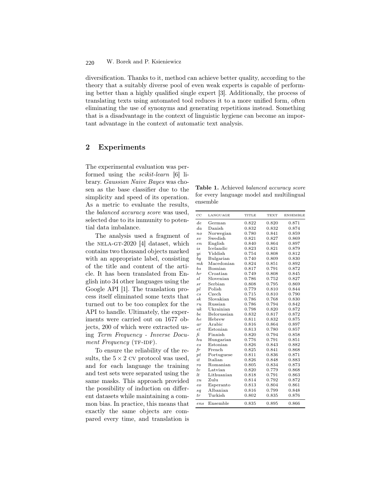### W. Borek and P. Ksieniewicz 220

diversification. Thanks to it, method can achieve better quality, according to the theory that a suitably diverse pool of even weak experts is capable of performing better than a highly qualified single expert [3]. Additionally, the process of translating texts using automated tool reduces it to a more unified form, often eliminating the use of synonyms and generating repetitions instead. Something that is a disadvantage in the context of linguistic hygiene can become an important advantage in the context of automatic text analysis.

# 2 Experiments

The experimental evaluation was performed using the scikit-learn [6] library. Gaussian Naive Bayes was chosen as the base classifier due to the simplicity and speed of its operation. As a metric to evaluate the results, the balanced accuracy score was used, selected due to its immunity to potential data imbalance.

The analysis used a fragment of the NELA-GT-2020  $[4]$  dataset, which contains two thousand objects marked with an appropriate label, consisting of the title and content of the article. It has been translated from English into 34 other languages using the Google API [1]. The translation process itself eliminated some texts that turned out to be too complex for the API to handle. Ultimately, the experiments were carried out on 1677 objects, 200 of which were extracted using Term Frequency - Inverse Document Frequency (TF-IDF).

To ensure the reliability of the results, the  $5 \times 2$  CV protocol was used, and for each language the training and test sets were separated using the same masks. This approach provided the possibility of induction on different datasets while maintaining a common bias. In practice, this means that exactly the same objects are compared every time, and translation is

Table 1. Achieved balanced accuracy score for every language model and multilingual ensemble

| $_{\rm CC}$              | LANGUAGE    | TITLE | <b>TEXT</b> | <b>ENSEMBLE</b> |
|--------------------------|-------------|-------|-------------|-----------------|
| de.                      | German      | 0.822 | 0.820       | 0.871           |
| da                       | Danish      | 0.832 | 0.832       | 0.874           |
| $n_{0}$                  | Norwegian   | 0.780 | 0.841       | 0.859           |
| $\mathcal{S}\mathcal{V}$ | Swedish     | 0.821 | 0.827       | 0.869           |
| $e_{n}$                  | English     | 0.840 | 0.864       | 0.897           |
| $i_{\mathcal{S}}$        | Icelandic   | 0.823 | 0.821       | 0.879           |
| yi                       | Yiddish     | 0.754 | 0.808       | 0.812           |
| bg                       | Bulgarian   | 0.740 | 0.809       | 0.830           |
| $m\&$                    | Macedonian  | 0.824 | 0.851       | 0.892           |
| $_{bs}$                  | Bosnian     | 0.817 | 0.791       | 0.872           |
| hr                       | Croatian    | 0.749 | 0.808       | 0.845           |
| sl                       | Slovenian   | 0.786 | 0.752       | 0.827           |
| sr                       | Serbian     | 0.808 | 0.795       | 0.869           |
| p                        | Polish      | 0.779 | 0.810       | 0.844           |
| $\overline{c}$ s         | Czech       | 0.715 | 0.810       | 0.790           |
| sk.                      | Slovakian   | 0.786 | 0.768       | 0.830           |
| ru                       | Russian     | 0.786 | 0.794       | 0.842           |
| $_{\textit{uk}}$         | Ukrainian   | 0.798 | 0.820       | 0.872           |
| be.                      | Belorussian | 0.832 | 0.817       | 0.872           |
| he.                      | Hebrew      | 0.811 | 0.832       | 0.875           |
| ar                       | Arabic      | 0.816 | 0.864       | 0.897           |
| et.                      | Estonian    | 0.813 | 0.780       | 0.857           |
| $f\bar{t}$               | Finnish     | 0.820 | 0.794       | 0.858           |
| $h_{u}$                  | Hungarian   | 0.776 | 0.791       | 0.851           |
| es                       | Estonian    | 0.826 | 0.843       | 0.882           |
| $f_T$                    | French      | 0.825 | 0.841       | 0.868           |
| $p_{t}$                  | Portuguese  | 0.811 | 0.836       | 0.871           |
| it                       | Italian     | 0.826 | 0.848       | 0.883           |
| r <sub>o</sub>           | Romanian    | 0.805 | 0.834       | 0.873           |
| $\ln$                    | Latvian     | 0.820 | 0.779       | 0.868           |
| l.t.                     | Lithuanian  | 0.818 | 0.791       | 0.863           |
| zu                       | Zulu        | 0.814 | 0.792       | 0.872           |
| eo                       | Esperanto   | 0.813 | 0.804       | 0.861           |
| sq                       | Albanian    | 0.816 | 0.799       | 0.848           |
| tr                       | Turkish     | 0.802 | 0.835       | 0.876           |
| ens                      | Ensemble    | 0.835 | 0.895       | 0.866           |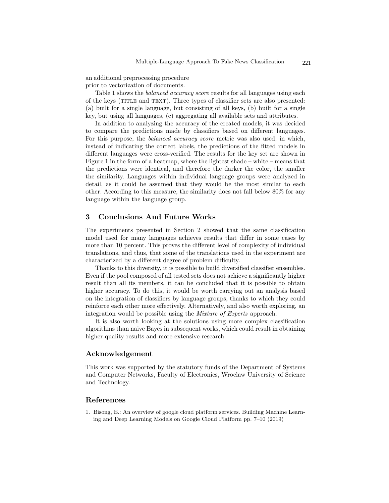an additional preprocessing procedure prior to vectorization of documents.

Table 1 shows the *balanced accuracy score* results for all languages using each of the keys (TITLE and TEXT). Three types of classifier sets are also presented: (a) built for a single language, but consisting of all keys, (b) built for a single key, but using all languages, (c) aggregating all available sets and attributes.

In addition to analyzing the accuracy of the created models, it was decided to compare the predictions made by classifiers based on different languages. For this purpose, the balanced accuracy score metric was also used, in which, instead of indicating the correct labels, the predictions of the fitted models in different languages were cross-verified. The results for the key set are shown in Figure 1 in the form of a heatmap, where the lightest shade – white – means that the predictions were identical, and therefore the darker the color, the smaller the similarity. Languages within individual language groups were analyzed in detail, as it could be assumed that they would be the most similar to each other. According to this measure, the similarity does not fall below 80% for any language within the language group.

# 3 Conclusions And Future Works

The experiments presented in Section 2 showed that the same classification model used for many languages achieves results that differ in some cases by more than 10 percent. This proves the different level of complexity of individual translations, and thus, that some of the translations used in the experiment are characterized by a different degree of problem difficulty.

Thanks to this diversity, it is possible to build diversified classifier ensembles. Even if the pool composed of all tested sets does not achieve a significantly higher result than all its members, it can be concluded that it is possible to obtain higher accuracy. To do this, it would be worth carrying out an analysis based on the integration of classifiers by language groups, thanks to which they could reinforce each other more effectively. Alternatively, and also worth exploring, an integration would be possible using the Mixture of Experts approach.

It is also worth looking at the solutions using more complex classification algorithms than naive Bayes in subsequent works, which could result in obtaining higher-quality results and more extensive research.

# Acknowledgement

This work was supported by the statutory funds of the Department of Systems and Computer Networks, Faculty of Electronics, Wroclaw University of Science and Technology.

### References

1. Bisong, E.: An overview of google cloud platform services. Building Machine Learning and Deep Learning Models on Google Cloud Platform pp. 7–10 (2019)